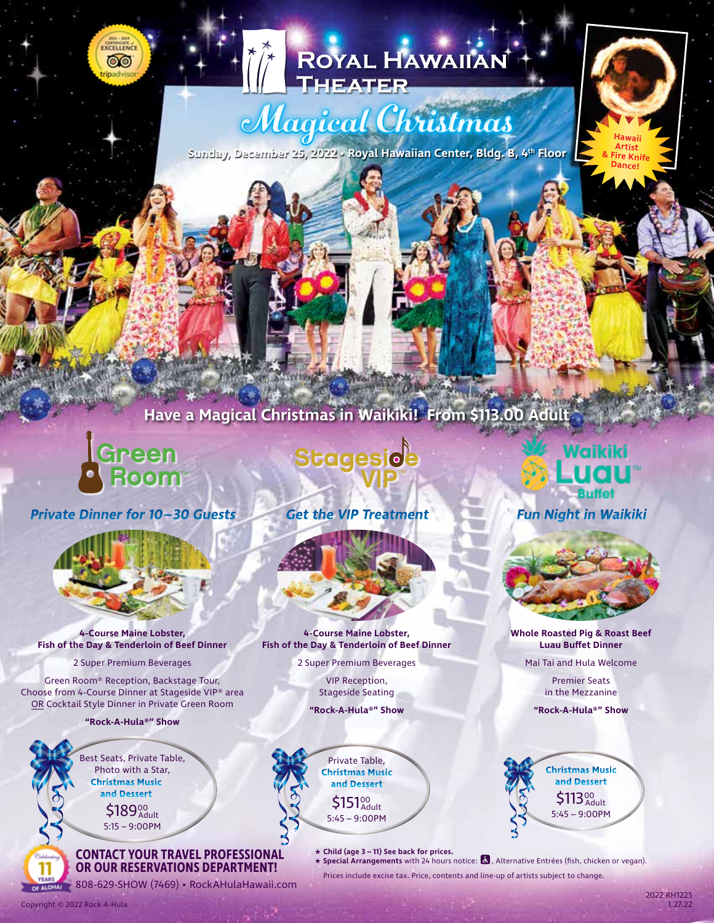# ROYAL HAWAIIAN

# Magical Christmas

**Sunday, December 25, 2022 • Royal Hawaiian Center, Bldg. B, 4th Floor**



## **Have a Magical Christmas in Waikiki! From \$113.00 Adult**



CURRICATI ෧෧

**Private Dinner for 10– 30 Guests**



**4-Course Maine Lobster, Fish of the Day & Tenderloin of Beef Dinner**

2 Super Premium Beverages

Green Room® Reception, Backstage Tour, Choose from 4-Course Dinner at Stageside VIP® area OR Cocktail Style Dinner in Private Green Room

**"Rock-A-Hula®" Show**

Best Seats, Private Table, Photo with a Star, **Christmas Music and Dessert**

5:15 – 9:00PM \$189%

#### **CONTACT YOUR TRAVEL PROFESSIONAL OR OUR RESERVATIONS DEPARTMENT!**

**EXERCISE 1808-629-SHOW (7469) • RockAHulaHawaii.com** 

**Stageside** 

**Get the VIP Treatment Fun Night in Waikiki**



**4-Course Maine Lobster, Fish of the Day & Tenderloin of Beef Dinner**

2 Super Premium Beverages

VIP Reception, Stageside Seating

**"Rock-A-Hula®" Show**



★ **Child (age 3 – 11) See back for prices.**

★ **Special Arrangements** with 24 hours notice: , Alternative Entrées (fish, chicken or vegan).

Prices include excise tax. Price, contents and line-up of artists subject to change.

11

2022 RH1225 1.27.22

**Whole Roasted Pig & Roast Beef Luau Buffet Dinner** Mai Tai and Hula Welcome Premier Seats in the Mezzanine **"Rock-A-Hula®" Show**

> 5:45 – 9:00PM  $$113^{\circ\circ}_{\scriptscriptstyle{\rm{Adult}}}$

**Christmas Music and Dessert**